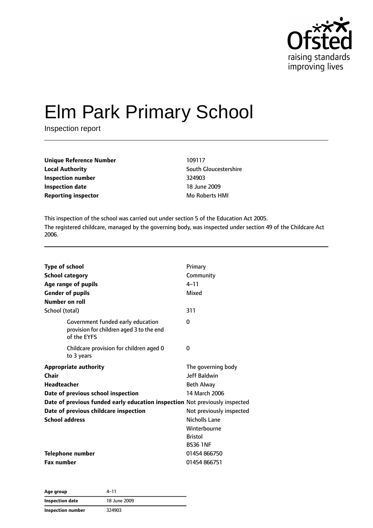

# Elm Park Primary School

Inspection report

| <b>Unique Reference Number</b> | 109117           |
|--------------------------------|------------------|
| <b>Local Authority</b>         | South Gloucester |
| Inspection number              | 324903           |
| Inspection date                | 18 June 2009     |
| <b>Reporting inspector</b>     | Mo Roberts HMI   |

**South Gloucestershire Inspection date** 18 June 2009

This inspection of the school was carried out under section 5 of the Education Act 2005. The registered childcare, managed by the governing body, was inspected under section 49 of the Childcare Act 2006.

| <b>Type of school</b><br><b>School category</b><br>Age range of pupils<br><b>Gender of pupils</b><br>Number on roll | Primary<br>Community<br>$4 - 11$<br>Mixed |
|---------------------------------------------------------------------------------------------------------------------|-------------------------------------------|
| School (total)                                                                                                      | 311                                       |
| Government funded early education<br>provision for children aged 3 to the end<br>of the EYFS                        | 0                                         |
| Childcare provision for children aged 0<br>to 3 years                                                               | 0                                         |
| <b>Appropriate authority</b>                                                                                        | The governing body                        |
| <b>Chair</b>                                                                                                        | <b>Jeff Baldwin</b>                       |
| <b>Headteacher</b>                                                                                                  | <b>Beth Alway</b>                         |
| Date of previous school inspection                                                                                  | 14 March 2006                             |
| Date of previous funded early education inspection Not previously inspected                                         |                                           |
| Date of previous childcare inspection                                                                               | Not previously inspected                  |
| <b>School address</b>                                                                                               | Nicholls Lane                             |
|                                                                                                                     | Winterbourne                              |
|                                                                                                                     | <b>Bristol</b>                            |
|                                                                                                                     | <b>BS36 1NF</b>                           |
| <b>Telephone number</b>                                                                                             | 01454 866750                              |
| <b>Fax number</b>                                                                                                   | 01454 866751                              |

| Age group         | $4 - 11$     |  |
|-------------------|--------------|--|
| Inspection date   | 18 June 2009 |  |
| Inspection number | 324903       |  |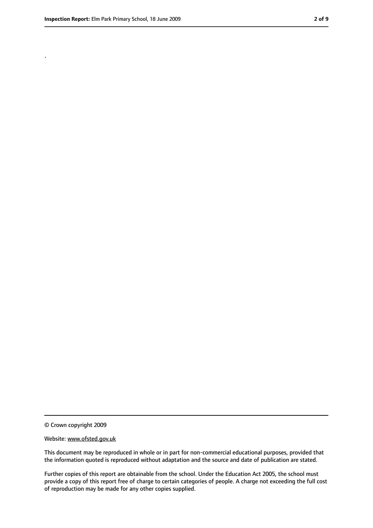.

<sup>©</sup> Crown copyright 2009

Website: www.ofsted.gov.uk

This document may be reproduced in whole or in part for non-commercial educational purposes, provided that the information quoted is reproduced without adaptation and the source and date of publication are stated.

Further copies of this report are obtainable from the school. Under the Education Act 2005, the school must provide a copy of this report free of charge to certain categories of people. A charge not exceeding the full cost of reproduction may be made for any other copies supplied.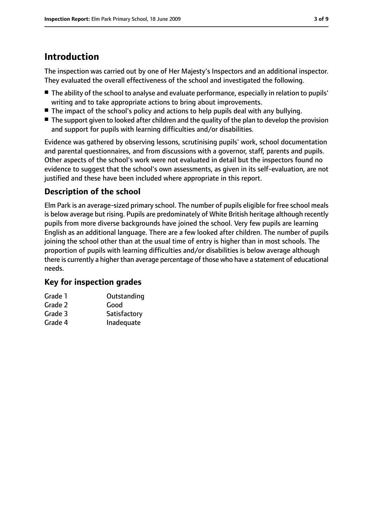## **Introduction**

The inspection was carried out by one of Her Majesty's Inspectors and an additional inspector. They evaluated the overall effectiveness of the school and investigated the following.

- The ability of the school to analyse and evaluate performance, especially in relation to pupils' writing and to take appropriate actions to bring about improvements.
- The impact of the school's policy and actions to help pupils deal with any bullying.
- The support given to looked after children and the quality of the plan to develop the provision and support for pupils with learning difficulties and/or disabilities.

Evidence was gathered by observing lessons, scrutinising pupils' work, school documentation and parental questionnaires, and from discussions with a governor, staff, parents and pupils. Other aspects of the school's work were not evaluated in detail but the inspectors found no evidence to suggest that the school's own assessments, as given in its self-evaluation, are not justified and these have been included where appropriate in this report.

## **Description of the school**

Elm Park is an average-sized primary school. The number of pupils eligible for free school meals is below average but rising. Pupils are predominately of White British heritage although recently pupils from more diverse backgrounds have joined the school. Very few pupils are learning English as an additional language. There are a few looked after children. The number of pupils joining the school other than at the usual time of entry is higher than in most schools. The proportion of pupils with learning difficulties and/or disabilities is below average although there is currently a higher than average percentage of those who have a statement of educational needs.

#### **Key for inspection grades**

| Grade 1 | Outstanding  |
|---------|--------------|
| Grade 2 | Good         |
| Grade 3 | Satisfactory |
| Grade 4 | Inadequate   |
|         |              |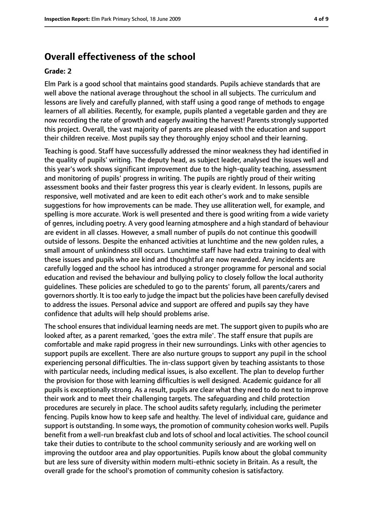#### **Overall effectiveness of the school**

#### **Grade: 2**

Elm Park is a good school that maintains good standards. Pupils achieve standards that are well above the national average throughout the school in all subjects. The curriculum and lessons are lively and carefully planned, with staff using a good range of methods to engage learners of all abilities. Recently, for example, pupils planted a vegetable garden and they are now recording the rate of growth and eagerly awaiting the harvest! Parents strongly supported this project. Overall, the vast majority of parents are pleased with the education and support their children receive. Most pupils say they thoroughly enjoy school and their learning.

Teaching is good. Staff have successfully addressed the minor weakness they had identified in the quality of pupils' writing. The deputy head, as subject leader, analysed the issues well and this year's work shows significant improvement due to the high-quality teaching, assessment and monitoring of pupils' progress in writing. The pupils are rightly proud of their writing assessment books and their faster progress this year is clearly evident. In lessons, pupils are responsive, well motivated and are keen to edit each other's work and to make sensible suggestions for how improvements can be made. They use alliteration well, for example, and spelling is more accurate. Work is well presented and there is good writing from a wide variety of genres, including poetry. A very good learning atmosphere and a high standard of behaviour are evident in all classes. However, a small number of pupils do not continue this goodwill outside of lessons. Despite the enhanced activities at lunchtime and the new golden rules, a small amount of unkindness still occurs. Lunchtime staff have had extra training to deal with these issues and pupils who are kind and thoughtful are now rewarded. Any incidents are carefully logged and the school has introduced a stronger programme for personal and social education and revised the behaviour and bullying policy to closely follow the local authority guidelines. These policies are scheduled to go to the parents' forum, all parents/carers and governors shortly. It is too early to judge the impact but the policies have been carefully devised to address the issues. Personal advice and support are offered and pupils say they have confidence that adults will help should problems arise.

The school ensures that individual learning needs are met. The support given to pupils who are looked after, as a parent remarked, 'goes the extra mile'. The staff ensure that pupils are comfortable and make rapid progress in their new surroundings. Links with other agencies to support pupils are excellent. There are also nurture groups to support any pupil in the school experiencing personal difficulties. The in-class support given by teaching assistants to those with particular needs, including medical issues, is also excellent. The plan to develop further the provision for those with learning difficulties is well designed. Academic guidance for all pupils is exceptionally strong. As a result, pupils are clear what they need to do next to improve their work and to meet their challenging targets. The safeguarding and child protection procedures are securely in place. The school audits safety regularly, including the perimeter fencing. Pupils know how to keep safe and healthy. The level of individual care, guidance and support is outstanding. In some ways, the promotion of community cohesion works well. Pupils benefit from a well-run breakfast club and lots of school and local activities. The school council take their duties to contribute to the school community seriously and are working well on improving the outdoor area and play opportunities. Pupils know about the global community but are less sure of diversity within modern multi-ethnic society in Britain. As a result, the overall grade for the school's promotion of community cohesion is satisfactory.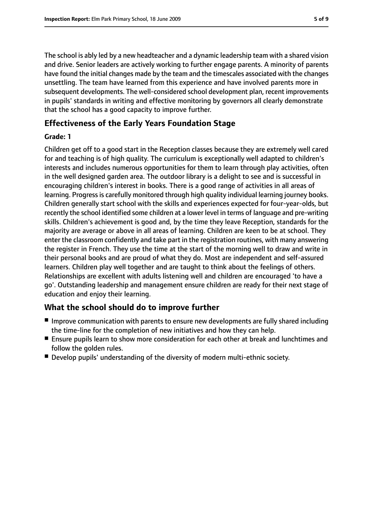The school is ably led by a new headteacher and a dynamic leadership team with a shared vision and drive. Senior leaders are actively working to further engage parents. A minority of parents have found the initial changes made by the team and the timescales associated with the changes unsettling. The team have learned from this experience and have involved parents more in subsequent developments. The well-considered school development plan, recent improvements in pupils' standards in writing and effective monitoring by governors all clearly demonstrate that the school has a good capacity to improve further.

#### **Effectiveness of the Early Years Foundation Stage**

#### **Grade: 1**

Children get off to a good start in the Reception classes because they are extremely well cared for and teaching is of high quality. The curriculum is exceptionally well adapted to children's interests and includes numerous opportunities for them to learn through play activities, often in the well designed garden area. The outdoor library is a delight to see and is successful in encouraging children's interest in books. There is a good range of activities in all areas of learning. Progressis carefully monitored through high quality individual learning journey books. Children generally start school with the skills and experiences expected for four-year-olds, but recently the school identified some children at a lower level in terms of language and pre-writing skills. Children's achievement is good and, by the time they leave Reception, standards for the majority are average or above in all areas of learning. Children are keen to be at school. They enter the classroom confidently and take part in the registration routines, with many answering the register in French. They use the time at the start of the morning well to draw and write in their personal books and are proud of what they do. Most are independent and self-assured learners. Children play well together and are taught to think about the feelings of others. Relationships are excellent with adults listening well and children are encouraged 'to have a go'. Outstanding leadership and management ensure children are ready for their next stage of education and enjoy their learning.

#### **What the school should do to improve further**

- Improve communication with parents to ensure new developments are fully shared including the time-line for the completion of new initiatives and how they can help.
- Ensure pupils learn to show more consideration for each other at break and lunchtimes and follow the golden rules.
- Develop pupils' understanding of the diversity of modern multi-ethnic society.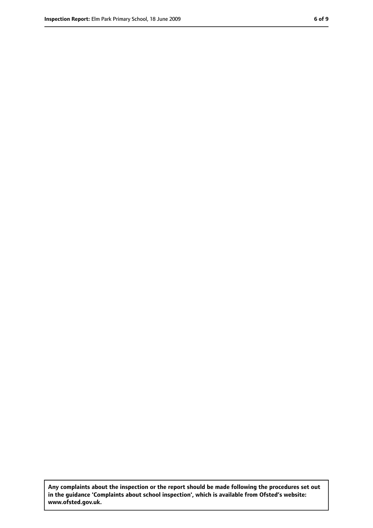**Any complaints about the inspection or the report should be made following the procedures set out in the guidance 'Complaints about school inspection', which is available from Ofsted's website: www.ofsted.gov.uk.**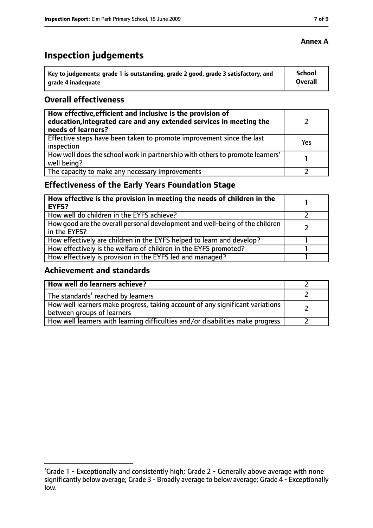# **Inspection judgements**

| ˈ Key to judgements: grade 1 is outstanding, grade 2 good, grade 3 satisfactory, and | <b>School</b>  |
|--------------------------------------------------------------------------------------|----------------|
| arade 4 inadequate                                                                   | <b>Overall</b> |

#### **Overall effectiveness**

| How effective, efficient and inclusive is the provision of<br>education, integrated care and any extended services in meeting the<br>needs of learners? |     |
|---------------------------------------------------------------------------------------------------------------------------------------------------------|-----|
| Effective steps have been taken to promote improvement since the last<br>inspection                                                                     | Yes |
| How well does the school work in partnership with others to promote learners'<br>well being?                                                            |     |
| The capacity to make any necessary improvements                                                                                                         |     |

## **Effectiveness of the Early Years Foundation Stage**

| How effective is the provision in meeting the needs of children in the<br>l EYFS?            |  |
|----------------------------------------------------------------------------------------------|--|
| How well do children in the EYFS achieve?                                                    |  |
| How good are the overall personal development and well-being of the children<br>in the EYFS? |  |
| How effectively are children in the EYFS helped to learn and develop?                        |  |
| How effectively is the welfare of children in the EYFS promoted?                             |  |
| How effectively is provision in the EYFS led and managed?                                    |  |

#### **Achievement and standards**

| How well do learners achieve?                                                  |  |
|--------------------------------------------------------------------------------|--|
| $\vert$ The standards <sup>1</sup> reached by learners                         |  |
| How well learners make progress, taking account of any significant variations  |  |
| between groups of learners                                                     |  |
| How well learners with learning difficulties and/or disabilities make progress |  |

#### **Annex A**

<sup>&</sup>lt;sup>1</sup>Grade 1 - Exceptionally and consistently high; Grade 2 - Generally above average with none significantly below average; Grade 3 - Broadly average to below average; Grade 4 - Exceptionally low.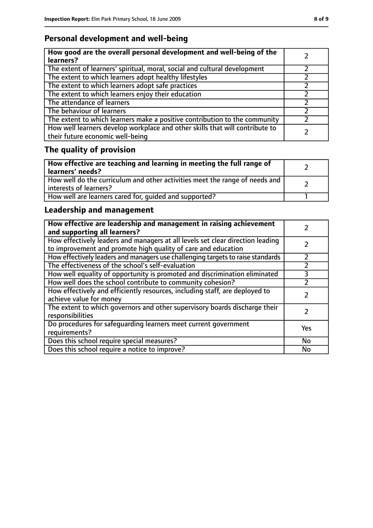## **Personal development and well-being**

| How good are the overall personal development and well-being of the<br>learners?                                 |  |
|------------------------------------------------------------------------------------------------------------------|--|
| The extent of learners' spiritual, moral, social and cultural development                                        |  |
| The extent to which learners adopt healthy lifestyles                                                            |  |
| The extent to which learners adopt safe practices                                                                |  |
| The extent to which learners enjoy their education                                                               |  |
| The attendance of learners                                                                                       |  |
| The behaviour of learners                                                                                        |  |
| The extent to which learners make a positive contribution to the community                                       |  |
| How well learners develop workplace and other skills that will contribute to<br>their future economic well-being |  |

# **The quality of provision**

| How effective are teaching and learning in meeting the full range of<br>learners' needs?              |  |
|-------------------------------------------------------------------------------------------------------|--|
| How well do the curriculum and other activities meet the range of needs and<br>interests of learners? |  |
| How well are learners cared for, quided and supported?                                                |  |

## **Leadership and management**

| How effective are leadership and management in raising achievement<br>and supporting all learners?                                              |           |
|-------------------------------------------------------------------------------------------------------------------------------------------------|-----------|
| How effectively leaders and managers at all levels set clear direction leading<br>to improvement and promote high quality of care and education |           |
| How effectively leaders and managers use challenging targets to raise standards                                                                 |           |
| The effectiveness of the school's self-evaluation                                                                                               |           |
| How well equality of opportunity is promoted and discrimination eliminated                                                                      | 3         |
| How well does the school contribute to community cohesion?                                                                                      | フ         |
| How effectively and efficiently resources, including staff, are deployed to<br>achieve value for money                                          |           |
| The extent to which governors and other supervisory boards discharge their<br>responsibilities                                                  |           |
| Do procedures for safequarding learners meet current government<br>requirements?                                                                | Yes       |
| Does this school require special measures?                                                                                                      | <b>No</b> |
| Does this school require a notice to improve?                                                                                                   | No        |